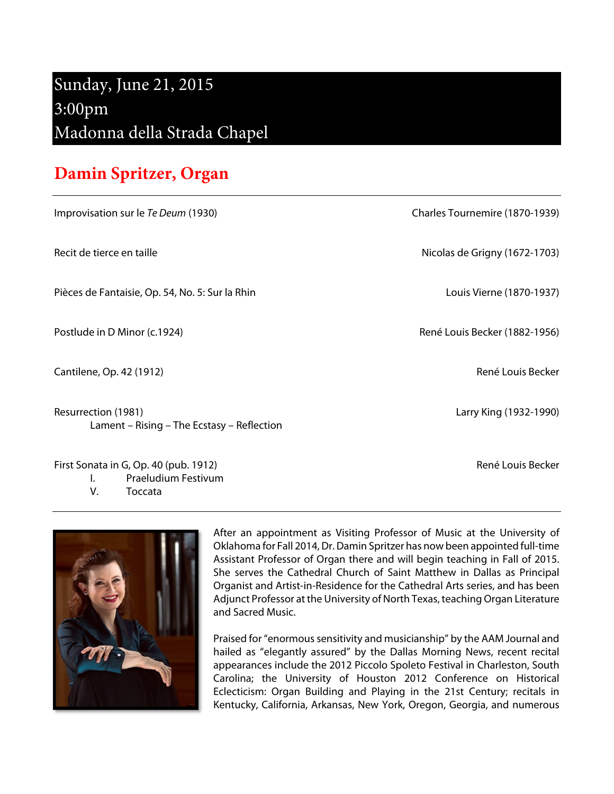## Sunday, June 21, 2015 3:00pm Madonna della Strada Chapel

## **Damin Spritzer, Organ**

Improvisation sur le Te Deum (1930) Charles Tournemire (1870-1939)

Pièces de Fantaisie, Op. 54, No. 5: Sur la Rhin Louis Vierne (1870-1937)

Postlude in D Minor (c.1924) **René Louis Becker (1882-1956**) René Louis Becker (1882-1956)

Cantilene, Op. 42 (1912) Cantilene, Op. 42 (1912)

Resurrection (1981) Larry King (1932-1990) Lament – Rising – The Ecstasy – Reflection

First Sonata in G, Op. 40 (pub. 1912) **René Louis Becker** René Louis Becker I. Praeludium Festivum **Toccata** 

After an appointment as Visiting Professor of Music at the University of Oklahoma for Fall 2014, Dr. Damin Spritzer has now been appointed full-time Assistant Professor of Organ there and will begin teaching in Fall of 2015. She serves the Cathedral Church of Saint Matthew in Dallas as Principal Organist and Artist-in-Residence for the Cathedral Arts series, and has been Adjunct Professor at the University of North Texas, teaching Organ Literature and Sacred Music.

Praised for "enormous sensitivity and musicianship" by the AAM Journal and hailed as "elegantly assured" by the Dallas Morning News, recent recital appearances include the 2012 Piccolo Spoleto Festival in Charleston, South Carolina; the University of Houston 2012 Conference on Historical Eclecticism: Organ Building and Playing in the 21st Century; recitals in Kentucky, California, Arkansas, New York, Oregon, Georgia, and numerous

Recit de tierce en taille **Nicolas de Grigny (1672-1703**)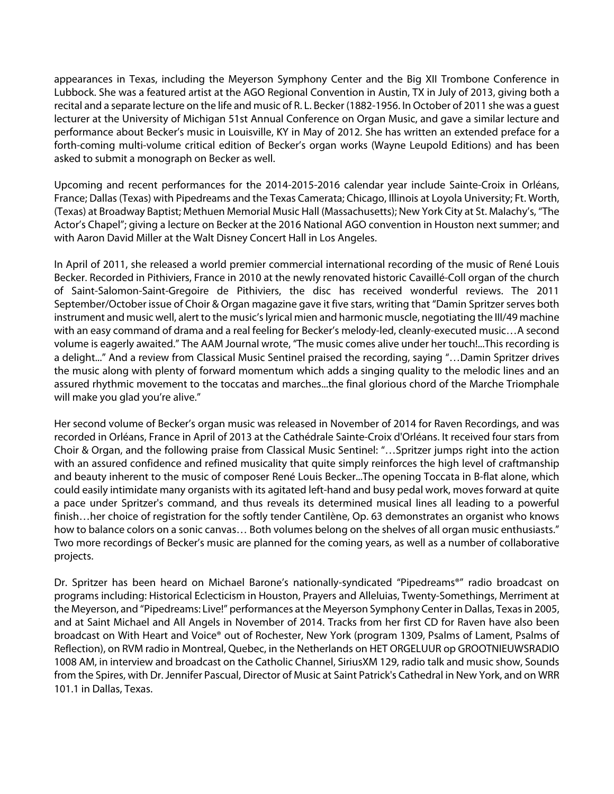appearances in Texas, including the Meyerson Symphony Center and the Big XII Trombone Conference in Lubbock. She was a featured artist at the AGO Regional Convention in Austin, TX in July of 2013, giving both a recital and a separate lecture on the life and music of R. L. Becker (1882-1956. In October of 2011 she was a guest lecturer at the University of Michigan 51st Annual Conference on Organ Music, and gave a similar lecture and performance about Becker's music in Louisville, KY in May of 2012. She has written an extended preface for a forth-coming multi-volume critical edition of Becker's organ works (Wayne Leupold Editions) and has been asked to submit a monograph on Becker as well.

Upcoming and recent performances for the 2014-2015-2016 calendar year include Sainte-Croix in Orléans, France; Dallas (Texas) with Pipedreams and the Texas Camerata; Chicago, Illinois at Loyola University; Ft. Worth, (Texas) at Broadway Baptist; Methuen Memorial Music Hall (Massachusetts); New York City at St. Malachy's, "The Actor's Chapel"; giving a lecture on Becker at the 2016 National AGO convention in Houston next summer; and with Aaron David Miller at the Walt Disney Concert Hall in Los Angeles.

In April of 2011, she released a world premier commercial international recording of the music of René Louis Becker. Recorded in Pithiviers, France in 2010 at the newly renovated historic Cavaillé-Coll organ of the church of Saint-Salomon-Saint-Gregoire de Pithiviers, the disc has received wonderful reviews. The 2011 September/October issue of Choir & Organ magazine gave it five stars, writing that "Damin Spritzer serves both instrument and music well, alert to the music's lyrical mien and harmonic muscle, negotiating the III/49 machine with an easy command of drama and a real feeling for Becker's melody-led, cleanly-executed music…A second volume is eagerly awaited." The AAM Journal wrote, "The music comes alive under her touch!...This recording is a delight..." And a review from Classical Music Sentinel praised the recording, saying "…Damin Spritzer drives the music along with plenty of forward momentum which adds a singing quality to the melodic lines and an assured rhythmic movement to the toccatas and marches...the final glorious chord of the Marche Triomphale will make you glad you're alive."

Her second volume of Becker's organ music was released in November of 2014 for Raven Recordings, and was recorded in Orléans, France in April of 2013 at the Cathédrale Sainte-Croix d'Orléans. It received four stars from Choir & Organ, and the following praise from Classical Music Sentinel: "…Spritzer jumps right into the action with an assured confidence and refined musicality that quite simply reinforces the high level of craftmanship and beauty inherent to the music of composer René Louis Becker...The opening Toccata in B-flat alone, which could easily intimidate many organists with its agitated left-hand and busy pedal work, moves forward at quite a pace under Spritzer's command, and thus reveals its determined musical lines all leading to a powerful finish…her choice of registration for the softly tender Cantilène, Op. 63 demonstrates an organist who knows how to balance colors on a sonic canvas... Both volumes belong on the shelves of all organ music enthusiasts." Two more recordings of Becker's music are planned for the coming years, as well as a number of collaborative projects.

Dr. Spritzer has been heard on Michael Barone's nationally-syndicated "Pipedreams®" radio broadcast on programs including: Historical Eclecticism in Houston, Prayers and Alleluias, Twenty-Somethings, Merriment at the Meyerson, and "Pipedreams: Live!" performances at the Meyerson Symphony Center in Dallas, Texas in 2005, and at Saint Michael and All Angels in November of 2014. Tracks from her first CD for Raven have also been broadcast on With Heart and Voice® out of Rochester, New York (program 1309, Psalms of Lament, Psalms of Reflection), on RVM radio in Montreal, Quebec, in the Netherlands on HET ORGELUUR op GROOTNIEUWSRADIO 1008 AM, in interview and broadcast on the Catholic Channel, SiriusXM 129, radio talk and music show, Sounds from the Spires, with Dr. Jennifer Pascual, Director of Music at Saint Patrick's Cathedral in New York, and on WRR 101.1 in Dallas, Texas.